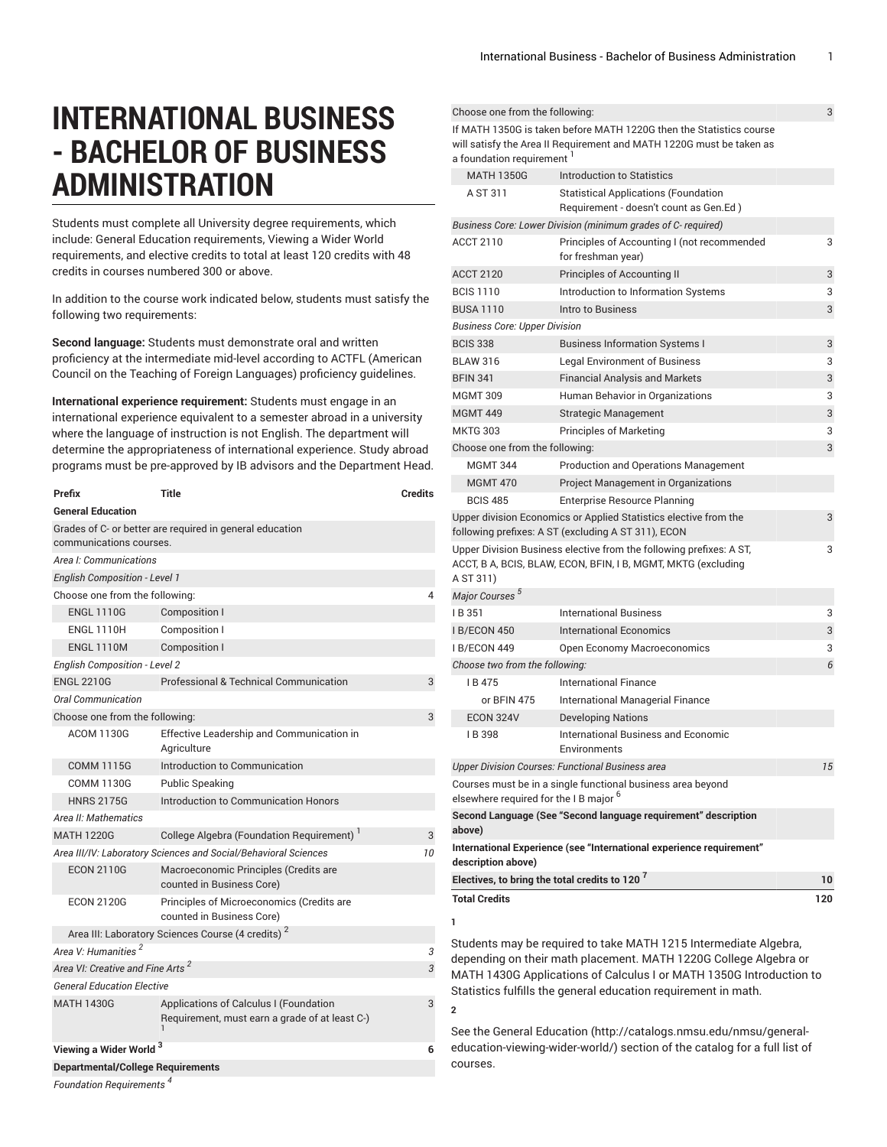$$ 

# **INTERNATIONAL BUSINESS - BACHELOR OF BUSINESS ADMINISTRATION**

Students must complete all University degree requirements, which include: General Education requirements, Viewing a Wider World requirements, and elective credits to total at least 120 credits with 48 credits in courses numbered 300 or above.

In addition to the course work indicated below, students must satisfy the following two requirements:

**Second language:** Students must demonstrate oral and written proficiency at the intermediate mid-level according to ACTFL (American Council on the Teaching of Foreign Languages) proficiency guidelines.

**International experience requirement:** Students must engage in an international experience equivalent to a semester abroad in a university where the language of instruction is not English. The department will determine the appropriateness of international experience. Study abroad programs must be pre-approved by IB advisors and the Department Head.

| Prefix                                                          | <b>Title</b>                                                                             | <b>Credits</b> |
|-----------------------------------------------------------------|------------------------------------------------------------------------------------------|----------------|
| <b>General Education</b>                                        |                                                                                          |                |
| communications courses.                                         | Grades of C- or better are required in general education                                 |                |
| Area I: Communications                                          |                                                                                          |                |
| <b>English Composition - Level 1</b>                            |                                                                                          |                |
| Choose one from the following:                                  |                                                                                          | 4              |
| <b>ENGL 1110G</b>                                               | <b>Composition I</b>                                                                     |                |
| <b>ENGL 1110H</b>                                               | Composition I                                                                            |                |
| <b>ENGL 1110M</b>                                               | <b>Composition I</b>                                                                     |                |
| <b>English Composition - Level 2</b>                            |                                                                                          |                |
| <b>ENGL 2210G</b>                                               | Professional & Technical Communication                                                   | 3              |
| Oral Communication                                              |                                                                                          |                |
| Choose one from the following:                                  |                                                                                          | 3              |
| <b>ACOM 1130G</b>                                               | Effective Leadership and Communication in<br>Agriculture                                 |                |
| <b>COMM 1115G</b>                                               | Introduction to Communication                                                            |                |
| <b>COMM 1130G</b>                                               | <b>Public Speaking</b>                                                                   |                |
| <b>HNRS 2175G</b>                                               | Introduction to Communication Honors                                                     |                |
| Area II: Mathematics                                            |                                                                                          |                |
| <b>MATH 1220G</b>                                               | College Algebra (Foundation Requirement) <sup>1</sup>                                    | 3              |
| Area III/IV: Laboratory Sciences and Social/Behavioral Sciences |                                                                                          |                |
| <b>ECON 2110G</b>                                               | Macroeconomic Principles (Credits are<br>counted in Business Core)                       |                |
| <b>ECON 2120G</b>                                               | Principles of Microeconomics (Credits are<br>counted in Business Core)                   |                |
|                                                                 | Area III: Laboratory Sciences Course (4 credits) <sup>2</sup>                            |                |
| Area V: Humanities <sup>2</sup>                                 |                                                                                          | 3              |
| Area VI: Creative and Fine Arts <sup>2</sup>                    |                                                                                          | 3              |
| <b>General Education Elective</b>                               |                                                                                          |                |
| <b>MATH 1430G</b>                                               | Applications of Calculus I (Foundation<br>Requirement, must earn a grade of at least C-) | 3              |
| Viewing a Wider World <sup>3</sup>                              |                                                                                          |                |
| <b>Departmental/College Requirements</b>                        |                                                                                          |                |
| $E$ oundation Poquiromanta $^4$                                 |                                                                                          |                |

| 0.10000 0.10 110111 1110 101101111110.                    |                                                                                                                                             |     |
|-----------------------------------------------------------|---------------------------------------------------------------------------------------------------------------------------------------------|-----|
| a foundation requirement 1                                | If MATH 1350G is taken before MATH 1220G then the Statistics course<br>will satisfy the Area II Requirement and MATH 1220G must be taken as |     |
| <b>MATH 1350G</b>                                         | Introduction to Statistics                                                                                                                  |     |
| A ST 311                                                  | <b>Statistical Applications (Foundation</b><br>Requirement - doesn't count as Gen.Ed)                                                       |     |
|                                                           | Business Core: Lower Division (minimum grades of C-required)                                                                                |     |
| <b>ACCT 2110</b>                                          | Principles of Accounting I (not recommended<br>for freshman year)                                                                           | 3   |
| <b>ACCT 2120</b>                                          | Principles of Accounting II                                                                                                                 | 3   |
| <b>BCIS 1110</b>                                          | Introduction to Information Systems                                                                                                         | 3   |
| <b>BUSA 1110</b>                                          | Intro to Business                                                                                                                           | 3   |
| <b>Business Core: Upper Division</b>                      |                                                                                                                                             |     |
| <b>BCIS 338</b>                                           | <b>Business Information Systems I</b>                                                                                                       | 3   |
| <b>BLAW 316</b>                                           | <b>Legal Environment of Business</b>                                                                                                        | 3   |
| <b>BFIN 341</b>                                           | <b>Financial Analysis and Markets</b>                                                                                                       | 3   |
| <b>MGMT 309</b>                                           | Human Behavior in Organizations                                                                                                             | 3   |
| <b>MGMT 449</b>                                           | <b>Strategic Management</b>                                                                                                                 | 3   |
| <b>MKTG 303</b>                                           | <b>Principles of Marketing</b>                                                                                                              | 3   |
| Choose one from the following:                            |                                                                                                                                             | 3   |
| <b>MGMT 344</b>                                           | <b>Production and Operations Management</b>                                                                                                 |     |
| <b>MGMT 470</b>                                           | Project Management in Organizations                                                                                                         |     |
| <b>BCIS 485</b>                                           | <b>Enterprise Resource Planning</b>                                                                                                         |     |
|                                                           | Upper division Economics or Applied Statistics elective from the<br>following prefixes: A ST (excluding A ST 311), ECON                     | 3   |
| A ST 311)                                                 | Upper Division Business elective from the following prefixes: A ST,<br>ACCT, B A, BCIS, BLAW, ECON, BFIN, I B, MGMT, MKTG (excluding        | 3   |
| Major Courses <sup>5</sup>                                |                                                                                                                                             |     |
| IB 351                                                    | <b>International Business</b>                                                                                                               | 3   |
| <b>IB/ECON 450</b>                                        | International Economics                                                                                                                     | 3   |
| I B/ECON 449                                              | Open Economy Macroeconomics                                                                                                                 | 3   |
| Choose two from the following:                            |                                                                                                                                             | 6   |
| IB475                                                     | International Finance                                                                                                                       |     |
| or BFIN 475                                               | International Managerial Finance                                                                                                            |     |
| ECON 324V                                                 | <b>Developing Nations</b>                                                                                                                   |     |
| IB 398                                                    | International Business and Economic<br>Environments                                                                                         |     |
|                                                           | <b>Upper Division Courses: Functional Business area</b>                                                                                     | 15  |
| elsewhere required for the IB major <sup>6</sup>          | Courses must be in a single functional business area beyond                                                                                 |     |
| above)                                                    | Second Language (See "Second language requirement" description                                                                              |     |
| description above)                                        | International Experience (see "International experience requirement"                                                                        |     |
| Electives, to bring the total credits to 120 <sup>7</sup> |                                                                                                                                             | 10  |
| <b>Total Credits</b>                                      |                                                                                                                                             | 120 |
| 1                                                         |                                                                                                                                             |     |
|                                                           |                                                                                                                                             |     |
|                                                           | Students may be required to take MATH 1215 Intermediate Algebra,                                                                            |     |

depending on their math placement. MATH 1220G College Algebra or MATH 1430G Applications of Calculus I or MATH 1350G Introduction to Statistics fulfills the general education requirement in math.

See the General [Education](http://catalogs.nmsu.edu/nmsu/general-education-viewing-wider-world/) ([http://catalogs.nmsu.edu/nmsu/general](http://catalogs.nmsu.edu/nmsu/general-education-viewing-wider-world/)[education-viewing-wider-world/\)](http://catalogs.nmsu.edu/nmsu/general-education-viewing-wider-world/) section of the catalog for a full list of courses.

**2**

*Foundation Requirements*